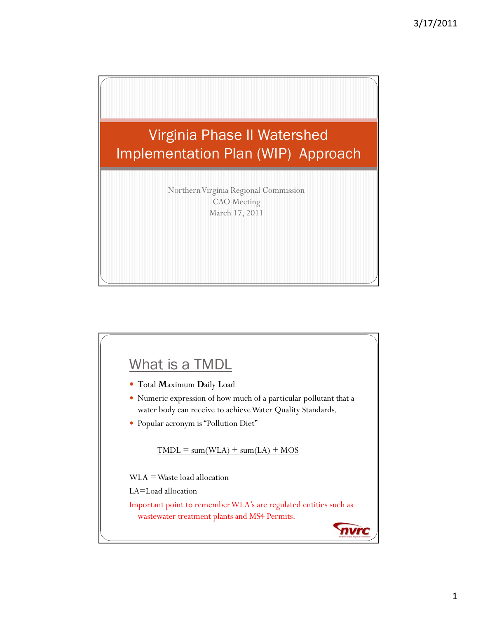

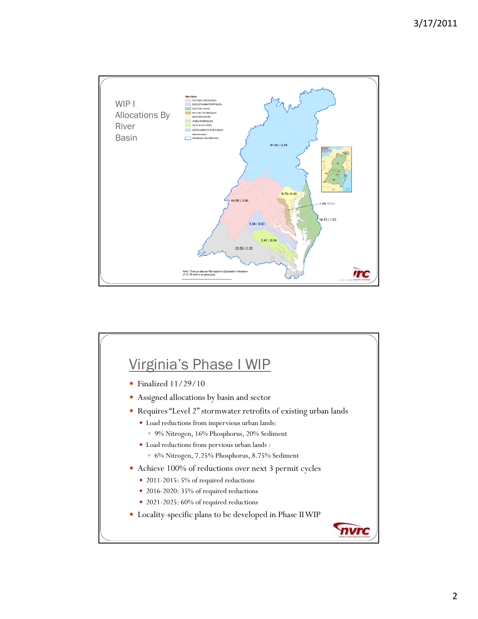

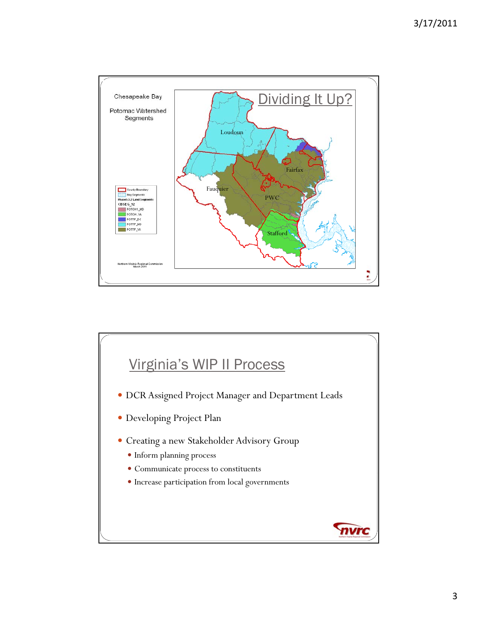

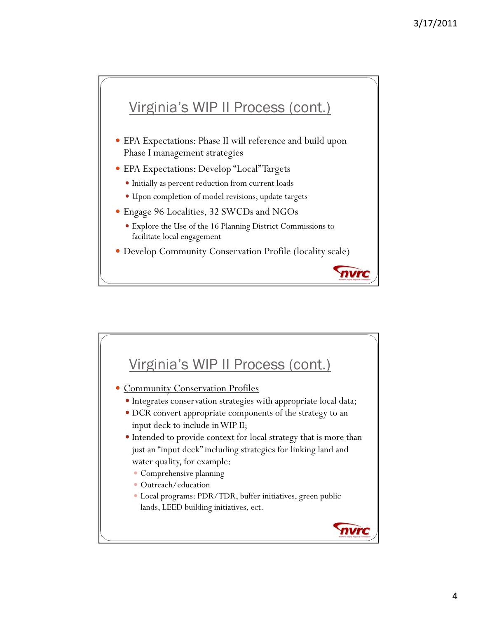## Virginia's WIP II Process (cont.)

- EPA Expectations: Phase II will reference and build upon Phase I management strategies
- EPA Expectations: Develop "Local" Targets
	- Initially as percent reduction from current loads
	- Upon completion of model revisions, update targets
- Engage 96 Localities, 32 SWCDs and NGOs
	- Explore the Use of the 16 Planning District Commissions to facilitate local engagement
- Develop Community Conservation Profile (locality scale)

nvrc

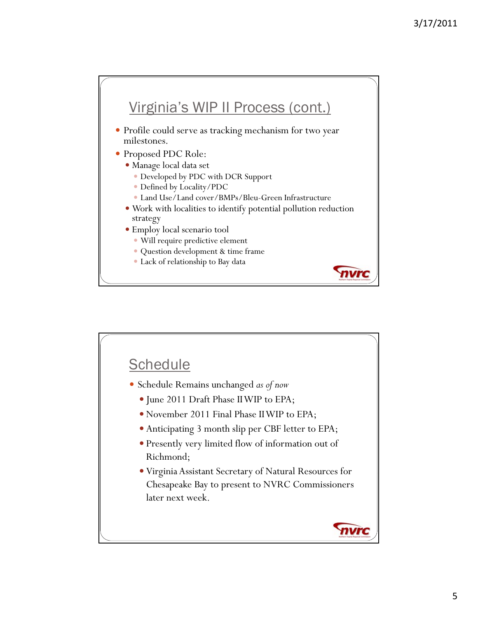

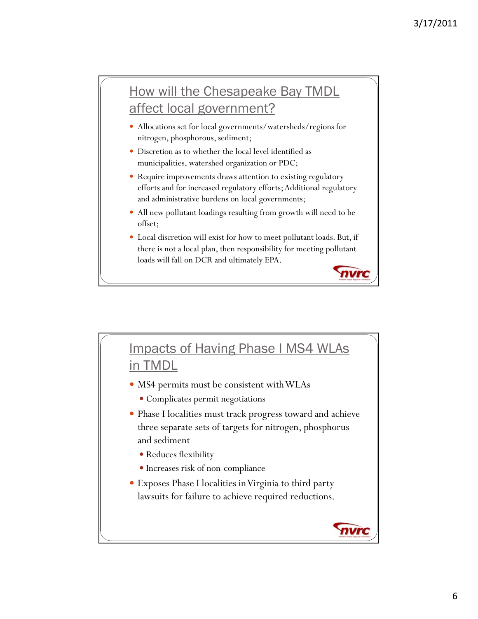## How will the Chesapeake Bay TMDL affect local government?

- Allocations set for local governments/watersheds/regions for nitrogen, phosphorous, sediment;
- Discretion as to whether the local level identified as municipalities, watershed organization or PDC;
- Require improvements draws attention to existing regulatory efforts and for increased regulatory efforts; Additional regulatory and administrative burdens on local governments;
- All new pollutant loadings resulting from growth will need to be offset;
- Local discretion will exist for how to meet pollutant loads. But, if there is not a local plan, then responsibility for meeting pollutant loads will fall on DCR and ultimately EPA.

nvrc

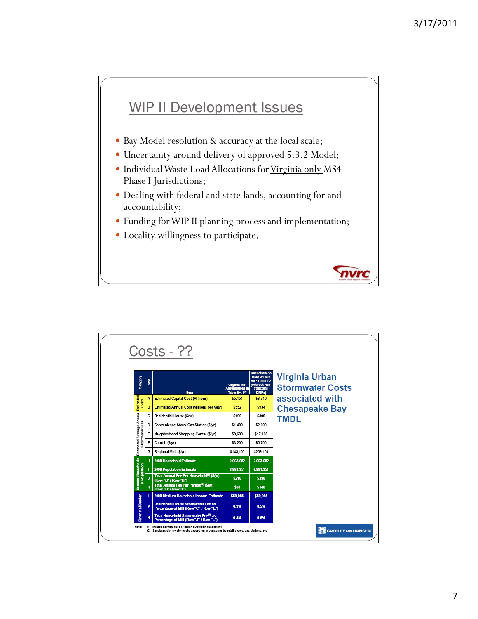## WIP II Development Issues

- Bay Model resolution & accuracy at the local scale;
- Uncertainty around delivery of approved 5.3.2 Model;
- Individual Waste Load Allocations for Virginia only MS4 Phase I Jurisdictions;
- Dealing with federal and state lands, accounting for and accountability;
- y Funding for WIP II planning process and implementation;

nvrc

• Locality willingness to participate.

| Codeanc                                      | Row |                                                                                           | <b>Virginia WIP</b>                          | Reductions to<br><b>Meet WLA In</b><br>WIP Table 2.2<br>(Without Non- | Virginia Urban<br><b>Stormwater Costs</b> |
|----------------------------------------------|-----|-------------------------------------------------------------------------------------------|----------------------------------------------|-----------------------------------------------------------------------|-------------------------------------------|
|                                              |     | ltem                                                                                      | Assumptions in<br>Table 6-4.1 <sup>(1)</sup> | <b>Structural</b><br>BMPs)                                            |                                           |
|                                              | A   | <b>Estimated Capital Cost (Millions)</b>                                                  | \$5,151                                      | \$8,710                                                               | associated with                           |
| Estimated<br>Costs                           | B   | <b>Estimated Annual Cost (Millions per year)</b>                                          | \$552                                        | \$934                                                                 | <b>Chesapeake Bay</b>                     |
|                                              | C   | Residential House (\$/yr)                                                                 | \$160                                        | \$300                                                                 | <b>TMDL</b>                               |
|                                              | D   | Convenience Store/ Gas Station (\$/yr)                                                    | \$1,400                                      | \$2,600                                                               |                                           |
| Estimated Average Annual<br>Stormwater Bills | E   | Neighborhood Shopping Center (\$/yr)                                                      | \$9.600                                      | \$17.100                                                              |                                           |
|                                              | F   | Church (\$/yr)                                                                            | \$3,200                                      | \$5,700                                                               |                                           |
|                                              | G   | Regional Mall (\$/yr)                                                                     | \$145.100                                    | \$259,100                                                             |                                           |
| ä                                            | H   | 2009 Household Estimate                                                                   | 2.663.652                                    | 2.663.652                                                             |                                           |
| Househo<br>g                                 | T.  | <b>2009 Population Estimate</b>                                                           | 6.881.351                                    | 6.881.351                                                             |                                           |
|                                              | J   | Total Annual Fee Per Household <sup>(2)</sup> (\$/yr)<br>(Row "B" / Row "H")              | \$210                                        | \$350                                                                 |                                           |
| Census                                       | K   | Total Annual Fee Per Person <sup>(2)</sup> (\$/yr)<br>(Row "B" / Row "I")                 | \$80                                         | \$140                                                                 |                                           |
|                                              | L   | 2009 Medium Household Income Estimate                                                     | \$59,985                                     | \$59,985                                                              |                                           |
| Finan dal Burden                             | M   | <b>Residential House Stormwater Fee as</b><br>Percentage of MHI (Row "C" / Row "L")       | 0.3%                                         | 0.5%                                                                  |                                           |
|                                              | N   | Total Household Stormwater Fee <sup>(2)</sup> as<br>Percentage of MHI (Row "J" / Row "L") | 0.4%                                         | 0.6%                                                                  |                                           |